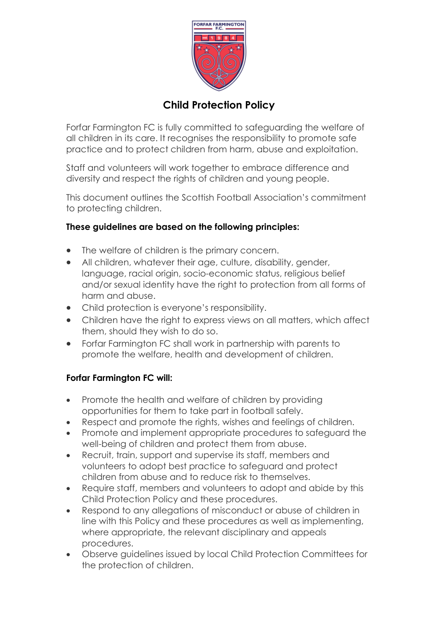

## **Child Protection Policy**

Forfar Farmington FC is fully committed to safeguarding the welfare of all children in its care. It recognises the responsibility to promote safe practice and to protect children from harm, abuse and exploitation.

Staff and volunteers will work together to embrace difference and diversity and respect the rights of children and young people.

This document outlines the Scottish Football Association's commitment to protecting children.

## **These guidelines are based on the following principles:**

- The welfare of children is the primary concern.
- All children, whatever their age, culture, disability, gender, language, racial origin, socio-economic status, religious belief and/or sexual identity have the right to protection from all forms of harm and abuse.
- Child protection is everyone's responsibility.
- Children have the right to express views on all matters, which affect them, should they wish to do so.
- Forfar Farmington FC shall work in partnership with parents to promote the welfare, health and development of children.

## **Forfar Farmington FC will:**

- Promote the health and welfare of children by providing opportunities for them to take part in football safely.
- Respect and promote the rights, wishes and feelings of children.
- Promote and implement appropriate procedures to safeguard the well-being of children and protect them from abuse.
- Recruit, train, support and supervise its staff, members and volunteers to adopt best practice to safeguard and protect children from abuse and to reduce risk to themselves.
- Require staff, members and volunteers to adopt and abide by this Child Protection Policy and these procedures.
- Respond to any allegations of misconduct or abuse of children in line with this Policy and these procedures as well as implementing, where appropriate, the relevant disciplinary and appeals procedures.
- Observe guidelines issued by local Child Protection Committees for the protection of children.